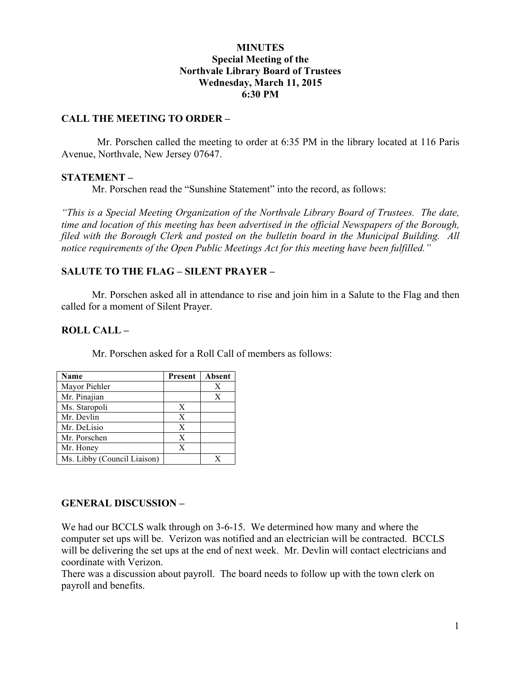### **MINUTES Special Meeting of the Northvale Library Board of Trustees Wednesday, March 11, 2015 6:30 PM**

#### **CALL THE MEETING TO ORDER –**

 Mr. Porschen called the meeting to order at 6:35 PM in the library located at 116 Paris Avenue, Northvale, New Jersey 07647.

### **STATEMENT –**

Mr. Porschen read the "Sunshine Statement" into the record, as follows:

*"This is a Special Meeting Organization of the Northvale Library Board of Trustees. The date, time and location of this meeting has been advertised in the official Newspapers of the Borough, filed with the Borough Clerk and posted on the bulletin board in the Municipal Building. All notice requirements of the Open Public Meetings Act for this meeting have been fulfilled."* 

# **SALUTE TO THE FLAG – SILENT PRAYER –**

Mr. Porschen asked all in attendance to rise and join him in a Salute to the Flag and then called for a moment of Silent Prayer.

# **ROLL CALL –**

Mr. Porschen asked for a Roll Call of members as follows:

| Name                        | <b>Present</b> | Absent |
|-----------------------------|----------------|--------|
| Mayor Piehler               |                | Χ      |
| Mr. Pinajian                |                | X      |
| Ms. Staropoli               | X              |        |
| Mr. Devlin                  | X              |        |
| Mr. DeLisio                 | X              |        |
| Mr. Porschen                | X              |        |
| Mr. Honey                   | X              |        |
| Ms. Libby (Council Liaison) |                |        |

# **GENERAL DISCUSSION –**

We had our BCCLS walk through on 3-6-15. We determined how many and where the computer set ups will be. Verizon was notified and an electrician will be contracted. BCCLS will be delivering the set ups at the end of next week. Mr. Devlin will contact electricians and coordinate with Verizon.

There was a discussion about payroll. The board needs to follow up with the town clerk on payroll and benefits.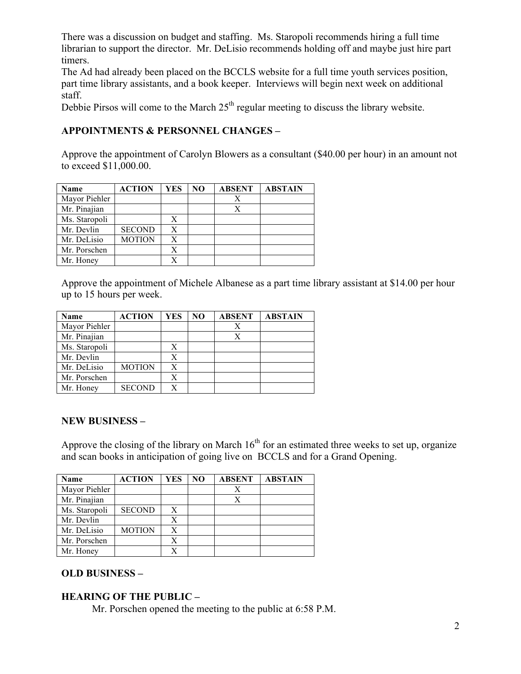There was a discussion on budget and staffing. Ms. Staropoli recommends hiring a full time librarian to support the director. Mr. DeLisio recommends holding off and maybe just hire part timers.

The Ad had already been placed on the BCCLS website for a full time youth services position, part time library assistants, and a book keeper. Interviews will begin next week on additional staff.

Debbie Pirsos will come to the March  $25<sup>th</sup>$  regular meeting to discuss the library website.

# **APPOINTMENTS & PERSONNEL CHANGES –**

Approve the appointment of Carolyn Blowers as a consultant (\$40.00 per hour) in an amount not to exceed \$11,000.00.

| Name          | <b>ACTION</b> | YES | NO | <b>ABSENT</b> | <b>ABSTAIN</b> |
|---------------|---------------|-----|----|---------------|----------------|
| Mayor Piehler |               |     |    | Х             |                |
| Mr. Pinajian  |               |     |    | Х             |                |
| Ms. Staropoli |               | X   |    |               |                |
| Mr. Devlin    | <b>SECOND</b> | X   |    |               |                |
| Mr. DeLisio   | <b>MOTION</b> | X   |    |               |                |
| Mr. Porschen  |               | Х   |    |               |                |
| Mr. Honey     |               | X   |    |               |                |

Approve the appointment of Michele Albanese as a part time library assistant at \$14.00 per hour up to 15 hours per week.

| Name          | <b>ACTION</b> | YES | NO | <b>ABSENT</b> | <b>ABSTAIN</b> |
|---------------|---------------|-----|----|---------------|----------------|
| Mayor Piehler |               |     |    | Х             |                |
| Mr. Pinajian  |               |     |    | Х             |                |
| Ms. Staropoli |               | X   |    |               |                |
| Mr. Devlin    |               | Х   |    |               |                |
| Mr. DeLisio   | <b>MOTION</b> | X   |    |               |                |
| Mr. Porschen  |               | Х   |    |               |                |
| Mr. Honey     | <b>SECOND</b> | X   |    |               |                |

#### **NEW BUSINESS –**

Approve the closing of the library on March  $16<sup>th</sup>$  for an estimated three weeks to set up, organize and scan books in anticipation of going live on BCCLS and for a Grand Opening.

| Name          | <b>ACTION</b> | YES | N <sub>O</sub> | <b>ABSENT</b> | <b>ABSTAIN</b> |
|---------------|---------------|-----|----------------|---------------|----------------|
| Mayor Piehler |               |     |                | Χ             |                |
| Mr. Pinajian  |               |     |                | X             |                |
| Ms. Staropoli | <b>SECOND</b> | X   |                |               |                |
| Mr. Devlin    |               | X   |                |               |                |
| Mr. DeLisio   | <b>MOTION</b> | X   |                |               |                |
| Mr. Porschen  |               | X   |                |               |                |
| Mr. Honey     |               | X   |                |               |                |

# **OLD BUSINESS –**

# **HEARING OF THE PUBLIC –**

Mr. Porschen opened the meeting to the public at 6:58 P.M.